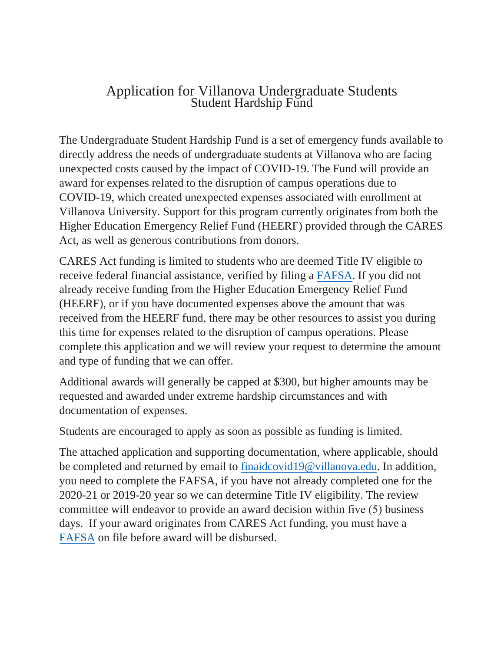## Application for Villanova Undergraduate Students Student Hardship Fund

The Undergraduate Student Hardship Fund is a set of emergency funds available to directly address the needs of undergraduate students at Villanova who are facing unexpected costs caused by the impact of COVID-19. The Fund will provide an award for expenses related to the disruption of campus operations due to COVID-19, which created unexpected expenses associated with enrollment at Villanova University. Support for this program currently originates from both the Higher Education Emergency Relief Fund (HEERF) provided through the CARES Act, as well as generous contributions from donors.

CARES Act funding is limited to students who are deemed Title IV eligible to receive federal financial assistance, verified by filing a [FAFSA.](https://studentaid.gov/h/apply-for-aid/fafsa) If you did not already receive funding from the Higher Education Emergency Relief Fund (HEERF), or if you have documented expenses above the amount that was received from the HEERF fund, there may be other resources to assist you during this time for expenses related to the disruption of campus operations. Please complete this application and we will review your request to determine the amount and type of funding that we can offer.

Additional awards will generally be capped at \$300, but higher amounts may be requested and awarded under extreme hardship circumstances and with documentation of expenses.

Students are encouraged to apply as soon as possible as funding is limited.

The attached application and supporting documentation, where applicable, should be completed and returned by email t[o finaidcovid19@villanova.edu.](mailto:finaidcovid19@villanova.edu) In addition, you need to complete the FAFSA, if you have not already completed one for the 2020-21 or 2019-20 year so we can determine Title IV eligibility. The review committee will endeavor to provide an award decision within five (5) business days. If your award originates from CARES Act funding, you must have a [FAFSA](https://studentaid.gov/h/apply-for-aid/fafsa) on file before award will be disbursed.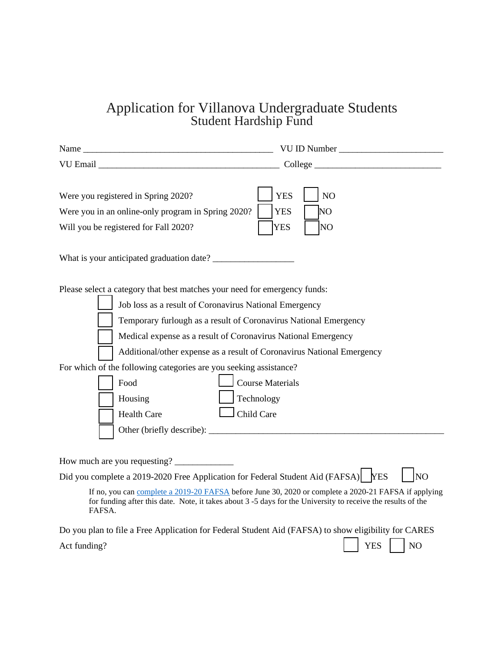## Application for Villanova Undergraduate Students Student Hardship Fund

|                                                                                                                                                                                                                                                   | VU ID Number                                                                                                                                                                                                                                                              |
|---------------------------------------------------------------------------------------------------------------------------------------------------------------------------------------------------------------------------------------------------|---------------------------------------------------------------------------------------------------------------------------------------------------------------------------------------------------------------------------------------------------------------------------|
| VU Email Language and the contract of the contract of the contract of the contract of the contract of the contract of the contract of the contract of the contract of the contract of the contract of the contract of the cont                    | $\qquad \qquad \text{Collect} \qquad$                                                                                                                                                                                                                                     |
| Were you registered in Spring 2020?<br>Were you in an online-only program in Spring 2020?<br>Will you be registered for Fall 2020?                                                                                                                | <b>YES</b><br>NO<br>NO<br><b>YES</b><br><b>YES</b><br>NO                                                                                                                                                                                                                  |
|                                                                                                                                                                                                                                                   |                                                                                                                                                                                                                                                                           |
| Please select a category that best matches your need for emergency funds:<br>Job loss as a result of Coronavirus National Emergency<br>For which of the following categories are you seeking assistance?<br>Food<br>Housing<br><b>Health Care</b> | Temporary furlough as a result of Coronavirus National Emergency<br>Medical expense as a result of Coronavirus National Emergency<br>Additional/other expense as a result of Coronavirus National Emergency<br><b>Course Materials</b><br>Technology<br>$\Box$ Child Care |
| How much are you requesting?                                                                                                                                                                                                                      |                                                                                                                                                                                                                                                                           |
|                                                                                                                                                                                                                                                   | Did you complete a 2019-2020 Free Application for Federal Student Aid (FAFSA)   YES<br><b>NO</b>                                                                                                                                                                          |
| FAFSA.                                                                                                                                                                                                                                            | If no, you can complete a 2019-20 FAFSA before June 30, 2020 or complete a 2020-21 FAFSA if applying<br>for funding after this date. Note, it takes about 3 -5 days for the University to receive the results of the                                                      |
|                                                                                                                                                                                                                                                   | Do you plan to file a Free Application for Federal Student Aid (FAFSA) to show eligibility for CARES                                                                                                                                                                      |
| Act funding?                                                                                                                                                                                                                                      | <b>YES</b><br>NO                                                                                                                                                                                                                                                          |